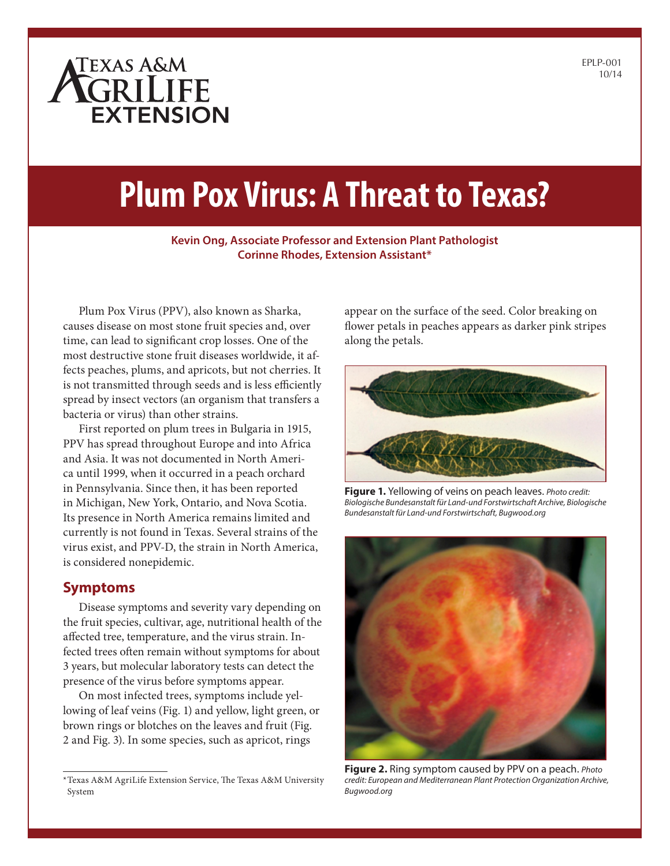# ATEXAS A&M **EXTENSION**

# **Plum Pox Virus: A Threat to Texas?**

#### **Kevin Ong, Associate Professor and Extension Plant Pathologist Corinne Rhodes, Extension Assistant\***

**1**

Plum Pox Virus (PPV), also known as Sharka, causes disease on most stone fruit species and, over time, can lead to significant crop losses. One of the most destructive stone fruit diseases worldwide, it affects peaches, plums, and apricots, but not cherries. It is not transmitted through seeds and is less efficiently spread by insect vectors (an organism that transfers a bacteria or virus) than other strains.

First reported on plum trees in Bulgaria in 1915, PPV has spread throughout Europe and into Africa and Asia. It was not documented in North America until 1999, when it occurred in a peach orchard in Pennsylvania. Since then, it has been reported in Michigan, New York, Ontario, and Nova Scotia. Its presence in North America remains limited and currently is not found in Texas. Several strains of the virus exist, and PPV-D, the strain in North America, is considered nonepidemic.

### **Symptoms**

Disease symptoms and severity vary depending on the fruit species, cultivar, age, nutritional health of the affected tree, temperature, and the virus strain. Infected trees often remain without symptoms for about 3 years, but molecular laboratory tests can detect the presence of the virus before symptoms appear.

On most infected trees, symptoms include yellowing of leaf veins (Fig. 1) and yellow, light green, or brown rings or blotches on the leaves and fruit (Fig. 2 and Fig. 3). In some species, such as apricot, rings

appear on the surface of the seed. Color breaking on flower petals in peaches appears as darker pink stripes along the petals.



**Figure 1.** Yellowing of veins on peach leaves. *Photo credit: Biologische Bundesanstalt für Land-und Forstwirtschaft Archive, Biologische Bundesanstalt für Land-und Forstwirtschaft, Bugwood.org*



**Figure 2.** Ring symptom caused by PPV on a peach. *Photo credit: European and Mediterranean Plant Protection Organization Archive, Bugwood.org*

<sup>\*</sup>Texas A&M AgriLife Extension Service, The Texas A&M University System